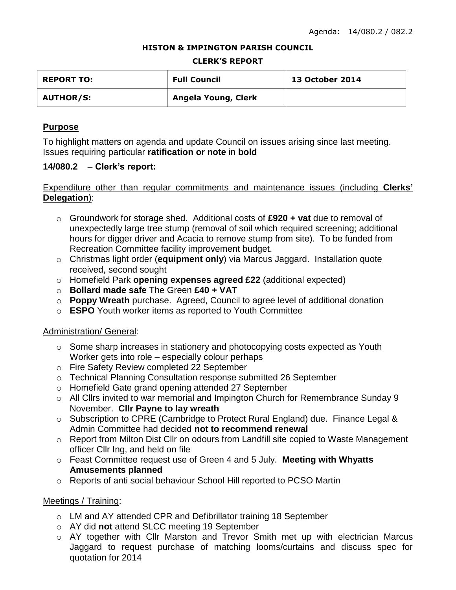### **HISTON & IMPINGTON PARISH COUNCIL**

### **CLERK'S REPORT**

| <b>REPORT TO:</b> | <b>Full Council</b> | <b>13 October 2014</b> |
|-------------------|---------------------|------------------------|
| <b>AUTHOR/S:</b>  | Angela Young, Clerk |                        |

## **Purpose**

To highlight matters on agenda and update Council on issues arising since last meeting. Issues requiring particular **ratification or note** in **bold**

## **14/080.2 – Clerk's report:**

# Expenditure other than regular commitments and maintenance issues (including **Clerks' Delegation**):

- o Groundwork for storage shed. Additional costs of **£920 + vat** due to removal of unexpectedly large tree stump (removal of soil which required screening; additional hours for digger driver and Acacia to remove stump from site). To be funded from Recreation Committee facility improvement budget.
- o Christmas light order (**equipment only**) via Marcus Jaggard. Installation quote received, second sought
- o Homefield Park **opening expenses agreed £22** (additional expected)
- o **Bollard made safe** The Green **£40 + VAT**
- o **Poppy Wreath** purchase. Agreed, Council to agree level of additional donation
- o **ESPO** Youth worker items as reported to Youth Committee

## Administration/ General:

- o Some sharp increases in stationery and photocopying costs expected as Youth Worker gets into role – especially colour perhaps
- o Fire Safety Review completed 22 September
- o Technical Planning Consultation response submitted 26 September
- o Homefield Gate grand opening attended 27 September
- o All Cllrs invited to war memorial and Impington Church for Remembrance Sunday 9 November. **Cllr Payne to lay wreath**
- o Subscription to CPRE (Cambridge to Protect Rural England) due. Finance Legal & Admin Committee had decided **not to recommend renewal**
- o Report from Milton Dist Cllr on odours from Landfill site copied to Waste Management officer Cllr Ing, and held on file
- o Feast Committee request use of Green 4 and 5 July. **Meeting with Whyatts Amusements planned**
- o Reports of anti social behaviour School Hill reported to PCSO Martin

## Meetings / Training:

- o LM and AY attended CPR and Defibrillator training 18 September
- o AY did **not** attend SLCC meeting 19 September
- o AY together with Cllr Marston and Trevor Smith met up with electrician Marcus Jaggard to request purchase of matching looms/curtains and discuss spec for quotation for 2014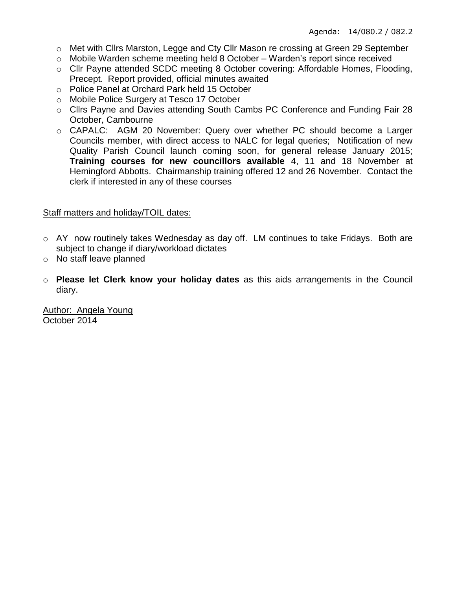- o Met with Cllrs Marston, Legge and Cty Cllr Mason re crossing at Green 29 September
- o Mobile Warden scheme meeting held 8 October Warden's report since received
- o Cllr Payne attended SCDC meeting 8 October covering: Affordable Homes, Flooding, Precept. Report provided, official minutes awaited
- o Police Panel at Orchard Park held 15 October
- o Mobile Police Surgery at Tesco 17 October
- o Cllrs Payne and Davies attending South Cambs PC Conference and Funding Fair 28 October, Cambourne
- o CAPALC: AGM 20 November: Query over whether PC should become a Larger Councils member, with direct access to NALC for legal queries; Notification of new Quality Parish Council launch coming soon, for general release January 2015; **Training courses for new councillors available** 4, 11 and 18 November at Hemingford Abbotts. Chairmanship training offered 12 and 26 November. Contact the clerk if interested in any of these courses

# Staff matters and holiday/TOIL dates:

- o AY now routinely takes Wednesday as day off. LM continues to take Fridays. Both are subject to change if diary/workload dictates
- o No staff leave planned
- o **Please let Clerk know your holiday dates** as this aids arrangements in the Council diary.

Author: Angela Young October 2014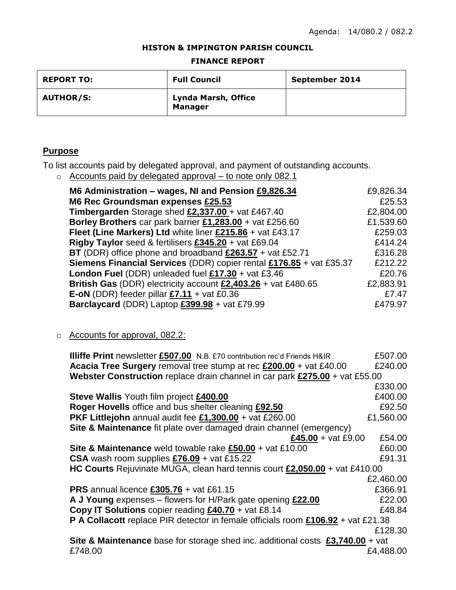### **HISTON & IMPINGTON PARISH COUNCIL**

#### **FINANCE REPORT**

| <b>REPORT TO:</b> | <b>Full Council</b>                   | September 2014 |
|-------------------|---------------------------------------|----------------|
| <b>AUTHOR/S:</b>  | Lynda Marsh, Office<br><b>Manager</b> |                |

# **Purpose**

To list accounts paid by delegated approval, and payment of outstanding accounts.

o Accounts paid by delegated approval – to note only 082.1

| M6 Administration - wages, NI and Pension £9,826.34                        |           |
|----------------------------------------------------------------------------|-----------|
| M6 Rec Groundsman expenses £25.53                                          | £25.53    |
| <b>Timbergarden</b> Storage shed $£2,337.00 + \text{vat } £467.40$         | £2,804.00 |
| Borley Brothers car park barrier £1,283.00 + vat £256.60                   | £1,539.60 |
| Fleet (Line Markers) Ltd white liner £215.86 + vat £43.17                  | £259.03   |
| Rigby Taylor seed & fertilisers £345.20 + vat £69.04                       | £414.24   |
| BT (DDR) office phone and broadband $£263.57 + \text{vat } £52.71$         | £316.28   |
| <b>Siemens Financial Services (DDR) copier rental £176.85 + vat £35.37</b> | £212.22   |
| <b>London Fuel (DDR) unleaded fuel £17.30 + vat £3.46</b>                  | £20.76    |
| British Gas (DDR) electricity account £2,403.26 + vat £480.65              | £2,883.91 |
| E-oN (DDR) feeder pillar $£7.11 + \text{vat } £0.36$                       | £7.47     |
| Barclaycard (DDR) Laptop £399.98 + vat £79.99                              | £479.97   |

# o Accounts for approval, 082.2:

| <b>Illiffe Print</b> newsletter £507.00 N.B. £70 contribution rec'd Friends H&IR        | £507.00   |
|-----------------------------------------------------------------------------------------|-----------|
| Acacia Tree Surgery removal tree stump at rec £200.00 + vat £40.00                      | £240.00   |
| Webster Construction replace drain channel in car park £275.00 + vat £55.00             |           |
|                                                                                         | £330.00   |
| <b>Steve Wallis Youth film project £400.00</b>                                          | £400.00   |
| Roger Hovells office and bus shelter cleaning £92.50                                    | £92.50    |
| PKF Littlejohn annual audit fee £1,300.00 + vat £260.00                                 | £1,560.00 |
| Site & Maintenance fit plate over damaged drain channel (emergency)                     |           |
| £45.00 + vat £9.00                                                                      | £54.00    |
| Site & Maintenance weld towable rake £50.00 + vat £10.00                                | £60.00    |
| CSA wash room supplies $£76.09 + \text{vat } £15.22$                                    | £91.31    |
| HC Courts Rejuvinate MUGA, clean hard tennis court £2,050.00 + vat £410.00              |           |
|                                                                                         | £2,460.00 |
| <b>PRS</b> annual licence $£305.76 + \text{vat £61.15}$                                 | £366.91   |
| A J Young expenses – flowers for H/Park gate opening £22.00                             | £22.00    |
| Copy IT Solutions copier reading £40.70 + vat £8.14                                     | £48.84    |
| P A Collacott replace PIR detector in female officials room £106.92 + vat £21.38        |           |
|                                                                                         | £128.30   |
| Site & Maintenance base for storage shed inc. additional costs $£3,740.00 + \text{vat}$ |           |
| £748.00                                                                                 | £4,488.00 |